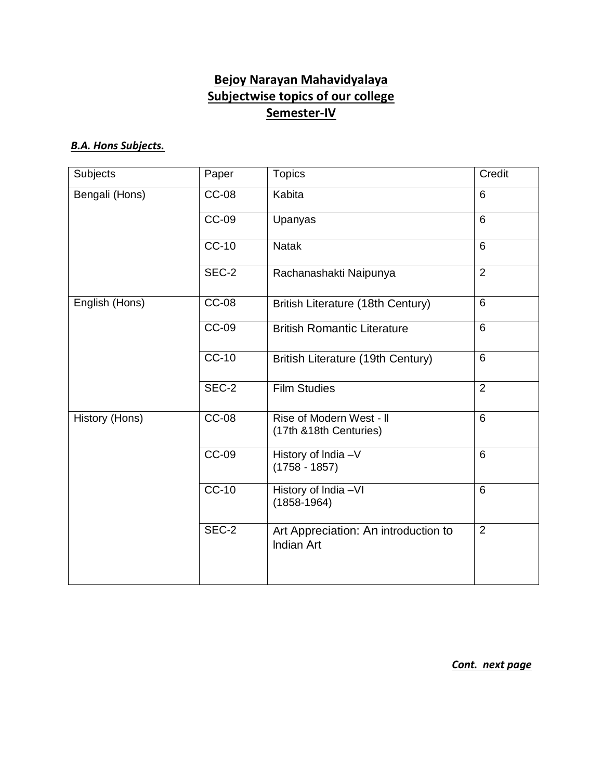# **Bejoy Narayan Mahavidyalaya Subjectwise topics of our college Semester-IV**

#### *B.A. Hons Subjects.*

| Subjects       | Paper        | <b>Topics</b>                                             | Credit         |
|----------------|--------------|-----------------------------------------------------------|----------------|
| Bengali (Hons) | <b>CC-08</b> | Kabita                                                    | 6              |
|                | <b>CC-09</b> | Upanyas                                                   | 6              |
|                | <b>CC-10</b> | <b>Natak</b>                                              | $6\phantom{1}$ |
|                | SEC-2        | Rachanashakti Naipunya                                    | $\overline{2}$ |
| English (Hons) | $CC-08$      | British Literature (18th Century)                         | 6              |
|                | <b>CC-09</b> | <b>British Romantic Literature</b>                        | $6\phantom{1}$ |
|                | $CC-10$      | British Literature (19th Century)                         | 6              |
|                | SEC-2        | <b>Film Studies</b>                                       | $\overline{2}$ |
| History (Hons) | $CC-08$      | Rise of Modern West - II<br>(17th &18th Centuries)        | 6              |
|                | $CC-09$      | History of India -V<br>$(1758 - 1857)$                    | $6\phantom{1}$ |
|                | $CC-10$      | History of India -VI<br>$(1858-1964)$                     | $6\phantom{1}$ |
|                | SEC-2        | Art Appreciation: An introduction to<br><b>Indian Art</b> | $\overline{2}$ |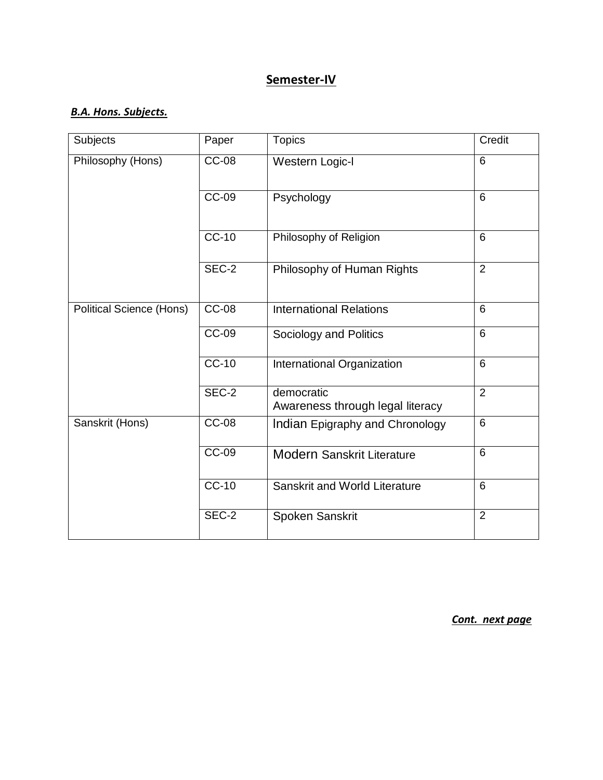## *B.A. Hons. Subjects.*

| Subjects                 | Paper        | <b>Topics</b>                                  | Credit         |
|--------------------------|--------------|------------------------------------------------|----------------|
| Philosophy (Hons)        | <b>CC-08</b> | Western Logic-I                                | $6\phantom{1}$ |
|                          | <b>CC-09</b> | Psychology                                     | 6              |
|                          | $CC-10$      | Philosophy of Religion                         | 6              |
|                          | $SEC-2$      | Philosophy of Human Rights                     | $\overline{2}$ |
| Political Science (Hons) | <b>CC-08</b> | <b>International Relations</b>                 | 6              |
|                          | CC-09        | Sociology and Politics                         | $6\phantom{1}$ |
|                          | $CC-10$      | International Organization                     | $6\phantom{1}$ |
|                          | SEC-2        | democratic<br>Awareness through legal literacy | $\overline{2}$ |
| Sanskrit (Hons)          | <b>CC-08</b> | Indian Epigraphy and Chronology                | 6              |
|                          | $CC-09$      | <b>Modern Sanskrit Literature</b>              | 6              |
|                          | $CC-10$      | Sanskrit and World Literature                  | 6              |
|                          | SEC-2        | Spoken Sanskrit                                | $\overline{2}$ |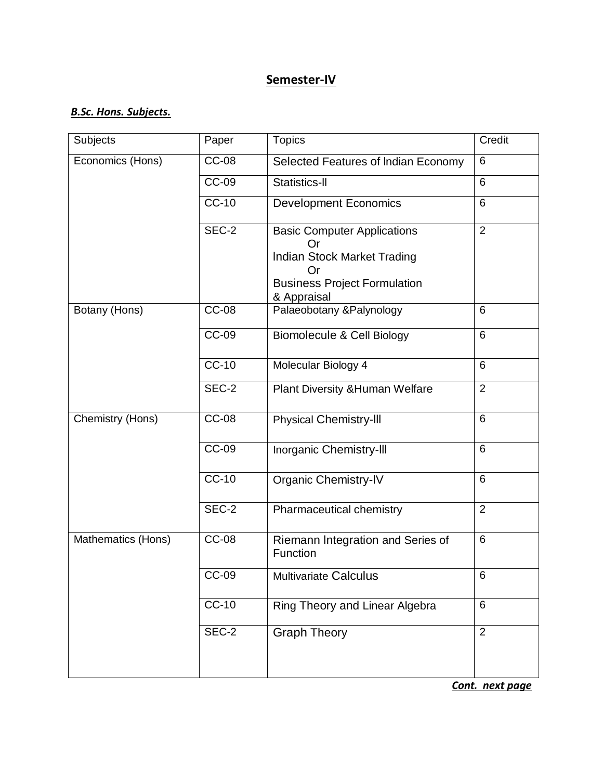#### *B.Sc. Hons. Subjects.*

| Subjects           | Paper               | <b>Topics</b>                                                                                                          | Credit         |
|--------------------|---------------------|------------------------------------------------------------------------------------------------------------------------|----------------|
| Economics (Hons)   | <b>CC-08</b>        | Selected Features of Indian Economy                                                                                    | 6              |
|                    | <b>CC-09</b>        | Statistics-II                                                                                                          | 6              |
|                    | <b>CC-10</b>        | <b>Development Economics</b>                                                                                           | 6              |
|                    | SEC-2               | <b>Basic Computer Applications</b><br>∶ )r<br>Indian Stock Market Trading<br>Or<br><b>Business Project Formulation</b> | $\overline{2}$ |
| Botany (Hons)      | <b>CC-08</b>        | & Appraisal<br>Palaeobotany & Palynology                                                                               | 6              |
|                    | <b>CC-09</b>        | <b>Biomolecule &amp; Cell Biology</b>                                                                                  | 6              |
|                    |                     |                                                                                                                        |                |
|                    | $CC-10$             | Molecular Biology 4                                                                                                    | 6              |
|                    | SEC-2               | Plant Diversity & Human Welfare                                                                                        | 2              |
| Chemistry (Hons)   | <b>CC-08</b>        | <b>Physical Chemistry-III</b>                                                                                          | 6              |
|                    | <b>CC-09</b>        | Inorganic Chemistry-III                                                                                                | 6              |
|                    | $CC-10$             | <b>Organic Chemistry-IV</b>                                                                                            | 6              |
|                    | SEC-2               | Pharmaceutical chemistry                                                                                               | $\overline{2}$ |
| Mathematics (Hons) | <b>CC-08</b>        | Riemann Integration and Series of<br>Function                                                                          | 6              |
|                    | $\overline{CC}$ -09 | <b>Multivariate Calculus</b>                                                                                           | 6              |
|                    | <b>CC-10</b>        | Ring Theory and Linear Algebra                                                                                         | $6\phantom{1}$ |
|                    | SEC-2               | <b>Graph Theory</b>                                                                                                    | $\overline{2}$ |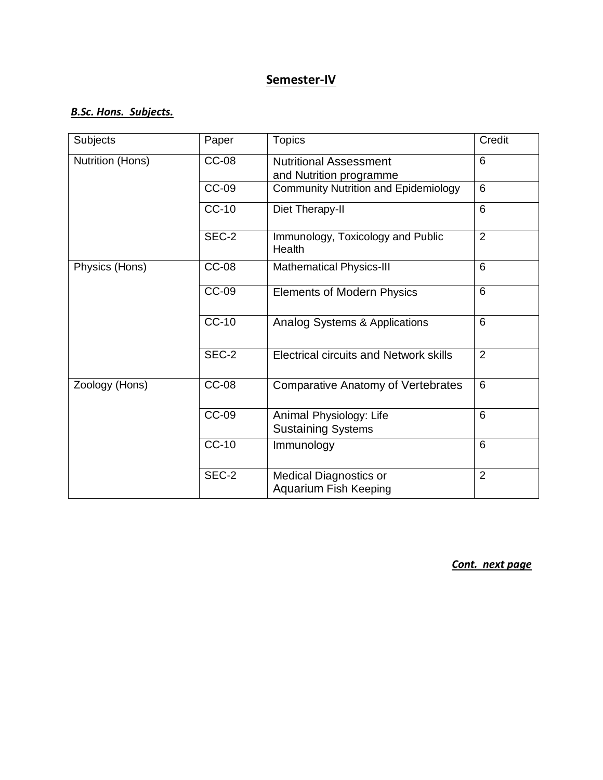#### *B.Sc. Hons. Subjects.*

| Subjects         | Paper        | <b>Topics</b>                                                 | Credit         |
|------------------|--------------|---------------------------------------------------------------|----------------|
| Nutrition (Hons) | $CC-08$      | <b>Nutritional Assessment</b><br>and Nutrition programme      | $6\phantom{1}$ |
|                  | <b>CC-09</b> | <b>Community Nutrition and Epidemiology</b>                   | $6\phantom{1}$ |
|                  | <b>CC-10</b> | Diet Therapy-II                                               | $6\phantom{1}$ |
|                  | SEC-2        | Immunology, Toxicology and Public<br>Health                   | 2              |
| Physics (Hons)   | <b>CC-08</b> | <b>Mathematical Physics-III</b>                               | 6              |
|                  | <b>CC-09</b> | <b>Elements of Modern Physics</b>                             | 6              |
|                  | <b>CC-10</b> | <b>Analog Systems &amp; Applications</b>                      | 6              |
|                  | SEC-2        | <b>Electrical circuits and Network skills</b>                 | 2              |
| Zoology (Hons)   | <b>CC-08</b> | <b>Comparative Anatomy of Vertebrates</b>                     | $6\phantom{1}$ |
|                  | <b>CC-09</b> | Animal Physiology: Life<br><b>Sustaining Systems</b>          | 6              |
|                  | $CC-10$      | Immunology                                                    | 6              |
|                  | SEC-2        | <b>Medical Diagnostics or</b><br><b>Aquarium Fish Keeping</b> | $\overline{2}$ |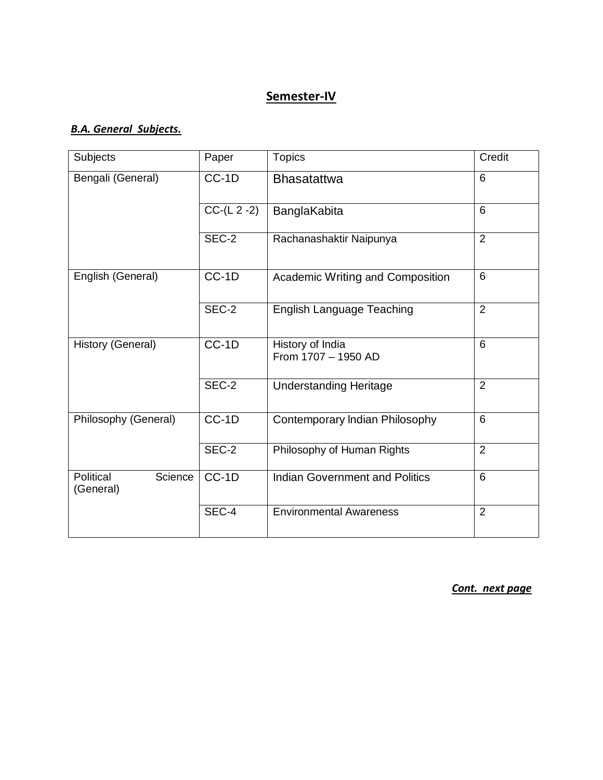#### *B.A. General Subjects.*

| Subjects                          | Paper         | <b>Topics</b>                           | Credit         |
|-----------------------------------|---------------|-----------------------------------------|----------------|
| Bengali (General)                 | $CC-1D$       | <b>Bhasatattwa</b>                      | $6\phantom{1}$ |
|                                   | $CC-(L 2 -2)$ | BanglaKabita                            | $\overline{6}$ |
|                                   | SEC-2         | Rachanashaktir Naipunya                 | 2              |
| English (General)                 | $CC-1D$       | Academic Writing and Composition        | $6\phantom{1}$ |
|                                   | SEC-2         | <b>English Language Teaching</b>        | 2              |
| History (General)                 | $CC-1D$       | History of India<br>From 1707 - 1950 AD | 6              |
|                                   | SEC-2         | <b>Understanding Heritage</b>           | 2              |
| Philosophy (General)              | $CC-1D$       | Contemporary Indian Philosophy          | 6              |
|                                   | SEC-2         | Philosophy of Human Rights              | $\overline{2}$ |
| Political<br>Science<br>(General) | $CC-1D$       | <b>Indian Government and Politics</b>   | 6              |
|                                   | SEC-4         | <b>Environmental Awareness</b>          | 2              |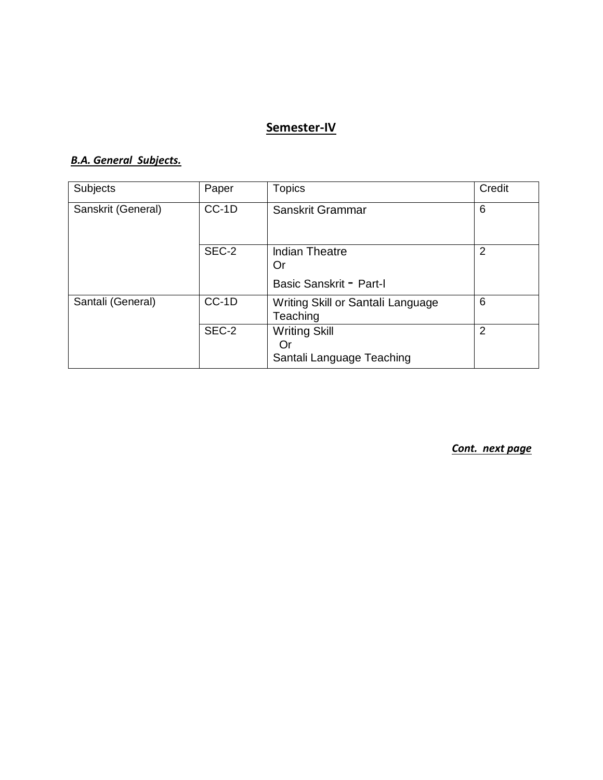#### *B.A. General Subjects.*

| Subjects           | Paper   | <b>Topics</b>                                           | Credit         |
|--------------------|---------|---------------------------------------------------------|----------------|
| Sanskrit (General) | $CC-1D$ | Sanskrit Grammar                                        | 6              |
|                    | SEC-2   | <b>Indian Theatre</b><br>Or<br>Basic Sanskrit - Part-I  | $\overline{2}$ |
| Santali (General)  | $CC-1D$ | Writing Skill or Santali Language<br>Teaching           | 6              |
|                    | SEC-2   | <b>Writing Skill</b><br>Or<br>Santali Language Teaching | 2              |